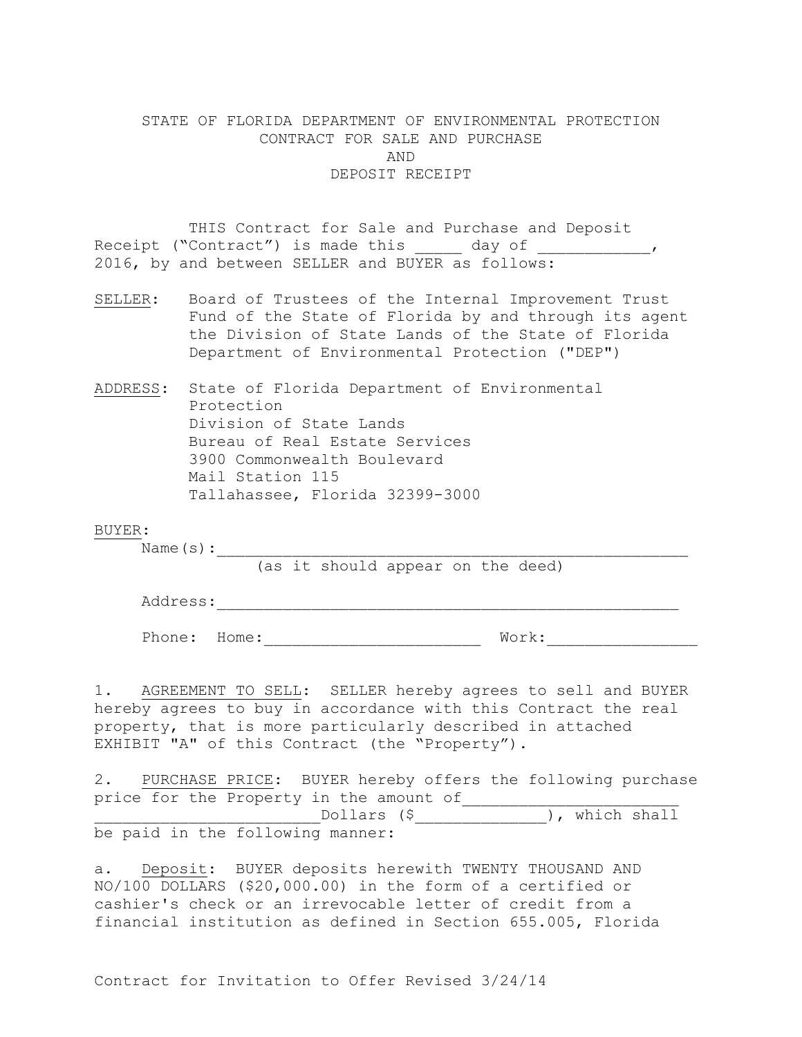# STATE OF FLORIDA DEPARTMENT OF ENVIRONMENTAL PROTECTION CONTRACT FOR SALE AND PURCHASE AND DEPOSIT RECEIPT

THIS Contract for Sale and Purchase and Deposit Receipt ("Contract") is made this \_\_\_\_\_ day of \_\_\_\_\_\_\_\_\_\_\_\_\_, 2016, by and between SELLER and BUYER as follows:

- SELLER: Board of Trustees of the Internal Improvement Trust Fund of the State of Florida by and through its agent the Division of State Lands of the State of Florida Department of Environmental Protection ("DEP")
- ADDRESS: State of Florida Department of Environmental Protection Division of State Lands Bureau of Real Estate Services 3900 Commonwealth Boulevard Mail Station 115 Tallahassee, Florida 32399-3000

### BUYER:

Name  $(s):$ 

(as it should appear on the deed)

Address:

Phone: Home: \_\_\_\_\_\_\_\_\_\_\_\_\_\_\_\_\_\_\_\_\_\_\_\_\_\_\_\_ Work: \_\_\_\_\_\_\_\_\_\_\_\_\_\_\_\_\_\_\_\_\_\_\_\_\_\_\_\_\_\_\_\_\_

1. AGREEMENT TO SELL: SELLER hereby agrees to sell and BUYER hereby agrees to buy in accordance with this Contract the real property, that is more particularly described in attached EXHIBIT "A" of this Contract (the "Property").

2. PURCHASE PRICE: BUYER hereby offers the following purchase price for the Property in the amount of \_Dollars (\$\_\_\_\_\_\_\_\_\_\_\_\_\_\_\_), which shall be paid in the following manner:

a. Deposit: BUYER deposits herewith TWENTY THOUSAND AND NO/100 DOLLARS (\$20,000.00) in the form of a certified or cashier's check or an irrevocable letter of credit from a financial institution as defined in Section 655.005, Florida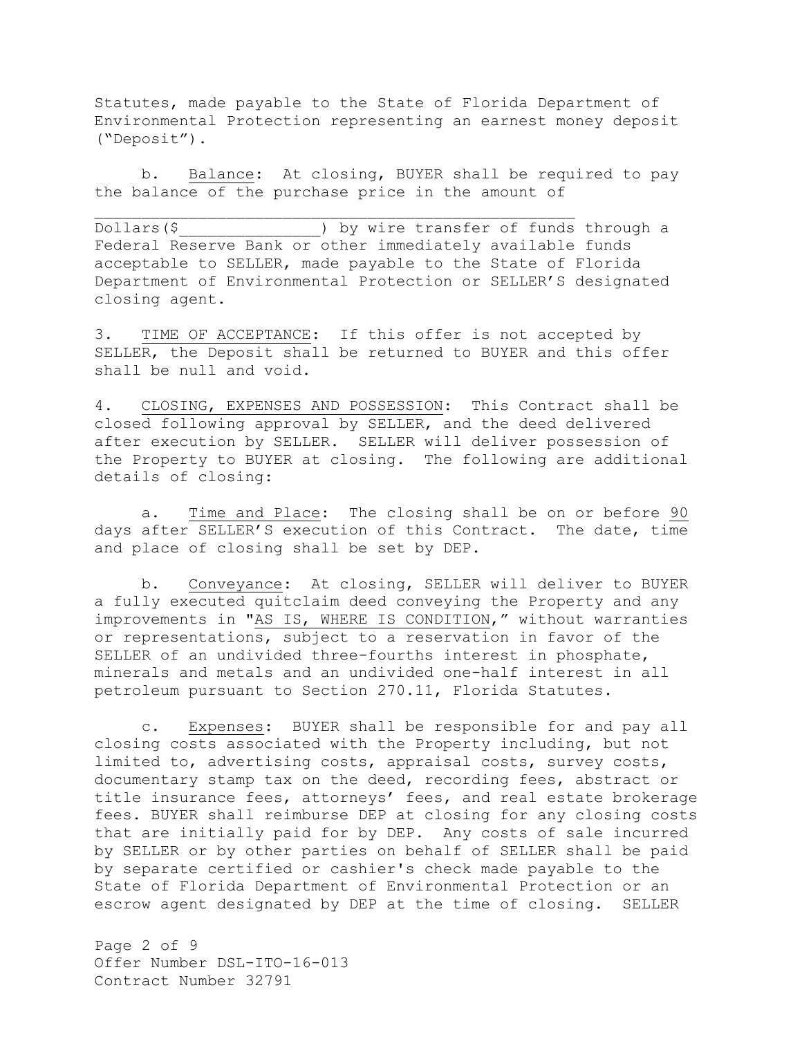Statutes, made payable to the State of Florida Department of Environmental Protection representing an earnest money deposit ("Deposit").

b. Balance: At closing, BUYER shall be required to pay the balance of the purchase price in the amount of

Dollars(\$ ) by wire transfer of funds through a Federal Reserve Bank or other immediately available funds acceptable to SELLER, made payable to the State of Florida Department of Environmental Protection or SELLER'S designated closing agent.

3. TIME OF ACCEPTANCE: If this offer is not accepted by SELLER, the Deposit shall be returned to BUYER and this offer shall be null and void.

4. CLOSING, EXPENSES AND POSSESSION: This Contract shall be closed following approval by SELLER, and the deed delivered after execution by SELLER. SELLER will deliver possession of the Property to BUYER at closing. The following are additional details of closing:

a. Time and Place: The closing shall be on or before 90 days after SELLER'S execution of this Contract. The date, time and place of closing shall be set by DEP.

b. Conveyance: At closing, SELLER will deliver to BUYER a fully executed quitclaim deed conveying the Property and any improvements in "AS IS, WHERE IS CONDITION," without warranties or representations, subject to a reservation in favor of the SELLER of an undivided three-fourths interest in phosphate, minerals and metals and an undivided one-half interest in all petroleum pursuant to Section 270.11, Florida Statutes.

c. Expenses: BUYER shall be responsible for and pay all closing costs associated with the Property including, but not limited to, advertising costs, appraisal costs, survey costs, documentary stamp tax on the deed, recording fees, abstract or title insurance fees, attorneys' fees, and real estate brokerage fees. BUYER shall reimburse DEP at closing for any closing costs that are initially paid for by DEP. Any costs of sale incurred by SELLER or by other parties on behalf of SELLER shall be paid by separate certified or cashier's check made payable to the State of Florida Department of Environmental Protection or an escrow agent designated by DEP at the time of closing. SELLER

Page 2 of 9 Offer Number DSL-ITO-16-013 Contract Number 32791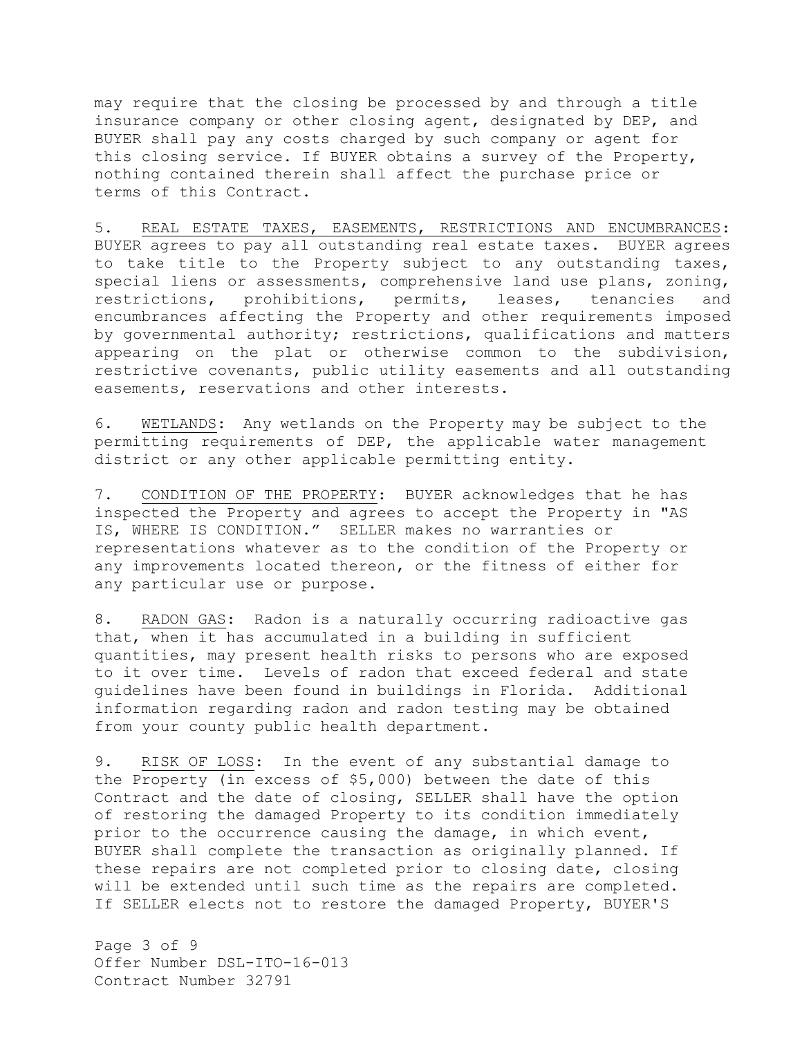may require that the closing be processed by and through a title insurance company or other closing agent, designated by DEP, and BUYER shall pay any costs charged by such company or agent for this closing service. If BUYER obtains a survey of the Property, nothing contained therein shall affect the purchase price or terms of this Contract.

5. REAL ESTATE TAXES, EASEMENTS, RESTRICTIONS AND ENCUMBRANCES: BUYER agrees to pay all outstanding real estate taxes. BUYER agrees to take title to the Property subject to any outstanding taxes, special liens or assessments, comprehensive land use plans, zoning, restrictions, prohibitions, permits, leases, tenancies and encumbrances affecting the Property and other requirements imposed by governmental authority; restrictions, qualifications and matters appearing on the plat or otherwise common to the subdivision, restrictive covenants, public utility easements and all outstanding easements, reservations and other interests.

6. WETLANDS: Any wetlands on the Property may be subject to the permitting requirements of DEP, the applicable water management district or any other applicable permitting entity.

7. CONDITION OF THE PROPERTY: BUYER acknowledges that he has inspected the Property and agrees to accept the Property in "AS IS, WHERE IS CONDITION." SELLER makes no warranties or representations whatever as to the condition of the Property or any improvements located thereon, or the fitness of either for any particular use or purpose.

8. RADON GAS: Radon is a naturally occurring radioactive gas that, when it has accumulated in a building in sufficient quantities, may present health risks to persons who are exposed to it over time. Levels of radon that exceed federal and state guidelines have been found in buildings in Florida. Additional information regarding radon and radon testing may be obtained from your county public health department.

9. RISK OF LOSS: In the event of any substantial damage to the Property (in excess of \$5,000) between the date of this Contract and the date of closing, SELLER shall have the option of restoring the damaged Property to its condition immediately prior to the occurrence causing the damage, in which event, BUYER shall complete the transaction as originally planned. If these repairs are not completed prior to closing date, closing will be extended until such time as the repairs are completed. If SELLER elects not to restore the damaged Property, BUYER'S

Page 3 of 9 Offer Number DSL-ITO-16-013 Contract Number 32791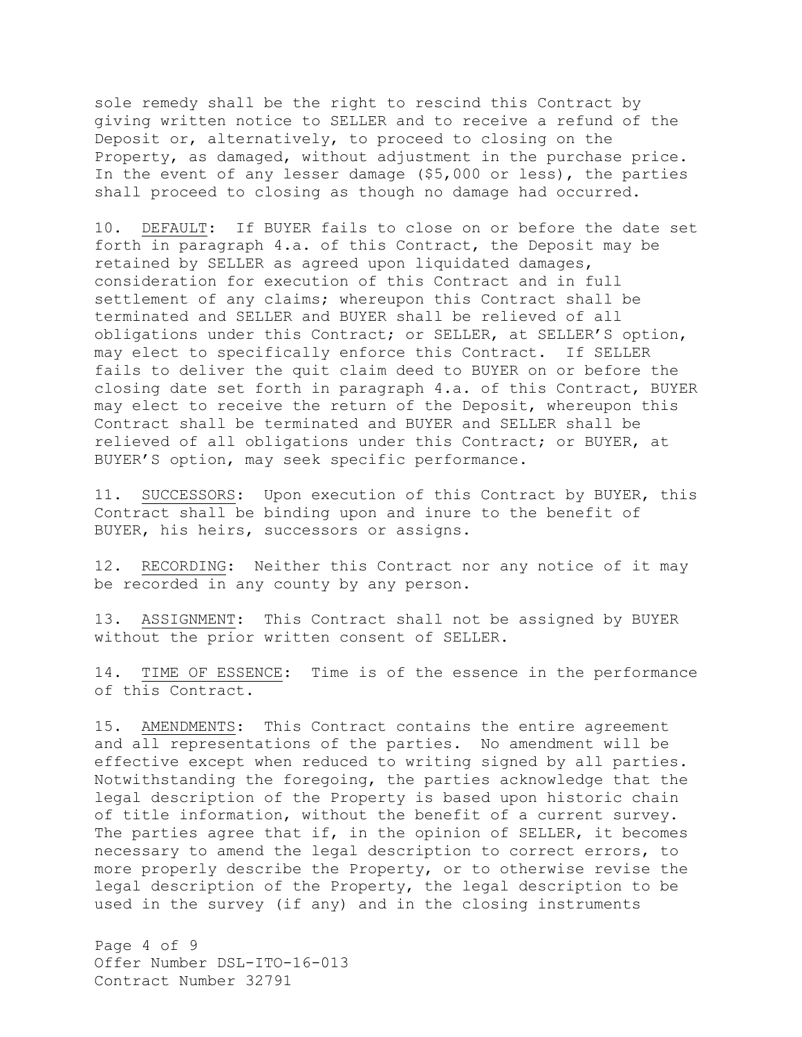sole remedy shall be the right to rescind this Contract by giving written notice to SELLER and to receive a refund of the Deposit or, alternatively, to proceed to closing on the Property, as damaged, without adjustment in the purchase price. In the event of any lesser damage (\$5,000 or less), the parties shall proceed to closing as though no damage had occurred.

10. DEFAULT: If BUYER fails to close on or before the date set forth in paragraph 4.a. of this Contract, the Deposit may be retained by SELLER as agreed upon liquidated damages, consideration for execution of this Contract and in full settlement of any claims; whereupon this Contract shall be terminated and SELLER and BUYER shall be relieved of all obligations under this Contract; or SELLER, at SELLER'S option, may elect to specifically enforce this Contract. If SELLER fails to deliver the quit claim deed to BUYER on or before the closing date set forth in paragraph 4.a. of this Contract, BUYER may elect to receive the return of the Deposit, whereupon this Contract shall be terminated and BUYER and SELLER shall be relieved of all obligations under this Contract; or BUYER, at BUYER'S option, may seek specific performance.

11. SUCCESSORS: Upon execution of this Contract by BUYER, this Contract shall be binding upon and inure to the benefit of BUYER, his heirs, successors or assigns.

12. RECORDING: Neither this Contract nor any notice of it may be recorded in any county by any person.

13. ASSIGNMENT: This Contract shall not be assigned by BUYER without the prior written consent of SELLER.

14. TIME OF ESSENCE: Time is of the essence in the performance of this Contract.

15. AMENDMENTS: This Contract contains the entire agreement and all representations of the parties. No amendment will be effective except when reduced to writing signed by all parties. Notwithstanding the foregoing, the parties acknowledge that the legal description of the Property is based upon historic chain of title information, without the benefit of a current survey. The parties agree that if, in the opinion of SELLER, it becomes necessary to amend the legal description to correct errors, to more properly describe the Property, or to otherwise revise the legal description of the Property, the legal description to be used in the survey (if any) and in the closing instruments

Page 4 of 9 Offer Number DSL-ITO-16-013 Contract Number 32791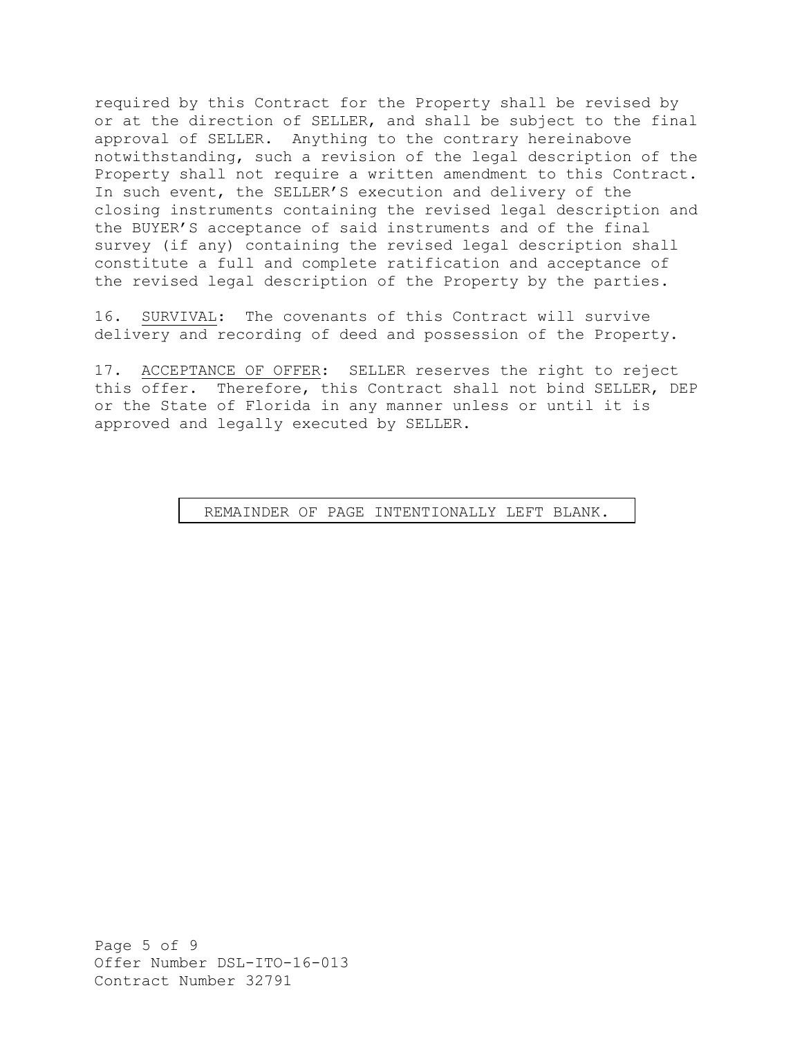required by this Contract for the Property shall be revised by or at the direction of SELLER, and shall be subject to the final approval of SELLER. Anything to the contrary hereinabove notwithstanding, such a revision of the legal description of the Property shall not require a written amendment to this Contract. In such event, the SELLER'S execution and delivery of the closing instruments containing the revised legal description and the BUYER'S acceptance of said instruments and of the final survey (if any) containing the revised legal description shall constitute a full and complete ratification and acceptance of the revised legal description of the Property by the parties.

16. SURVIVAL: The covenants of this Contract will survive delivery and recording of deed and possession of the Property.

17. ACCEPTANCE OF OFFER: SELLER reserves the right to reject this offer. Therefore, this Contract shall not bind SELLER, DEP or the State of Florida in any manner unless or until it is approved and legally executed by SELLER.

## REMAINDER OF PAGE INTENTIONALLY LEFT BLANK. SIGNATURE PAGE TO FOLLOW

Page 5 of 9 Offer Number DSL-ITO-16-013 Contract Number 32791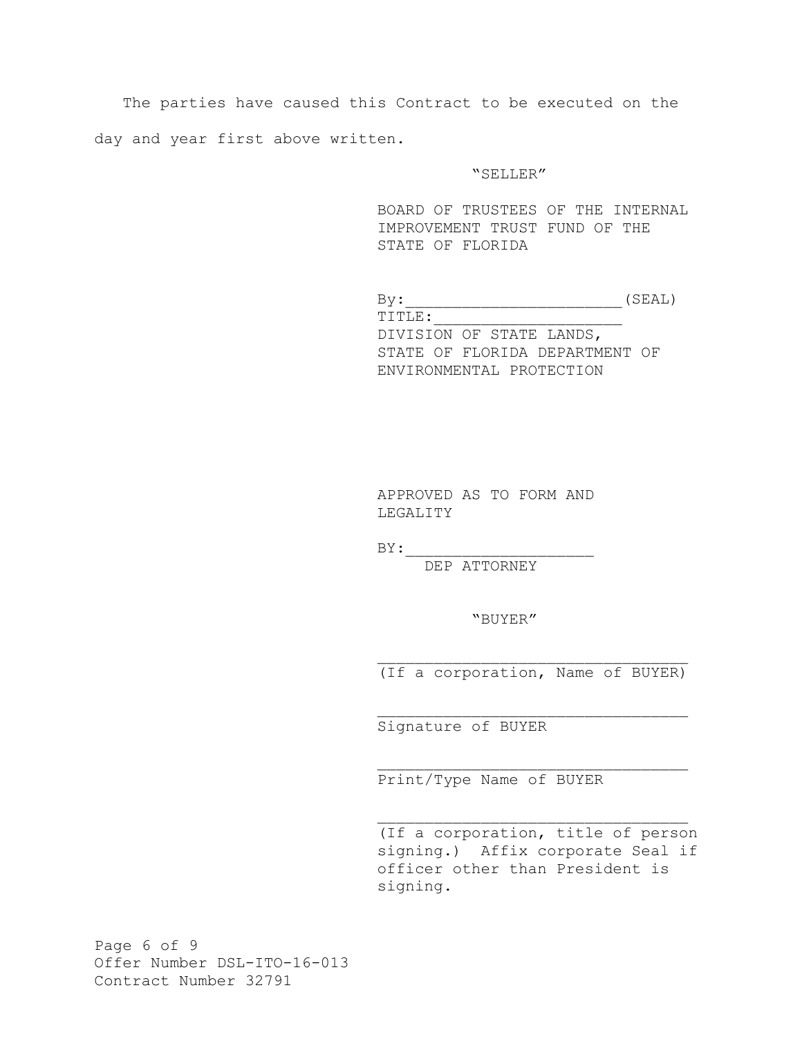The parties have caused this Contract to be executed on the day and year first above written.

### "SELLER"

BOARD OF TRUSTEES OF THE INTERNAL IMPROVEMENT TRUST FUND OF THE STATE OF FLORIDA

 $\texttt{By:}\qquad \qquad \texttt{(SEAL)}$  TITLE:\_\_\_\_\_\_\_\_\_\_\_\_\_\_\_\_\_\_\_\_ DIVISION OF STATE LANDS, STATE OF FLORIDA DEPARTMENT OF ENVIRONMENTAL PROTECTION

APPROVED AS TO FORM AND LEGALITY

 $BY:$ 

DEP ATTORNEY

"BUYER"

(If a corporation, Name of BUYER)

Signature of BUYER

Print/Type Name of BUYER

(If a corporation, title of person signing.) Affix corporate Seal if officer other than President is signing.

Page 6 of 9 Offer Number DSL-ITO-16-013 Contract Number 32791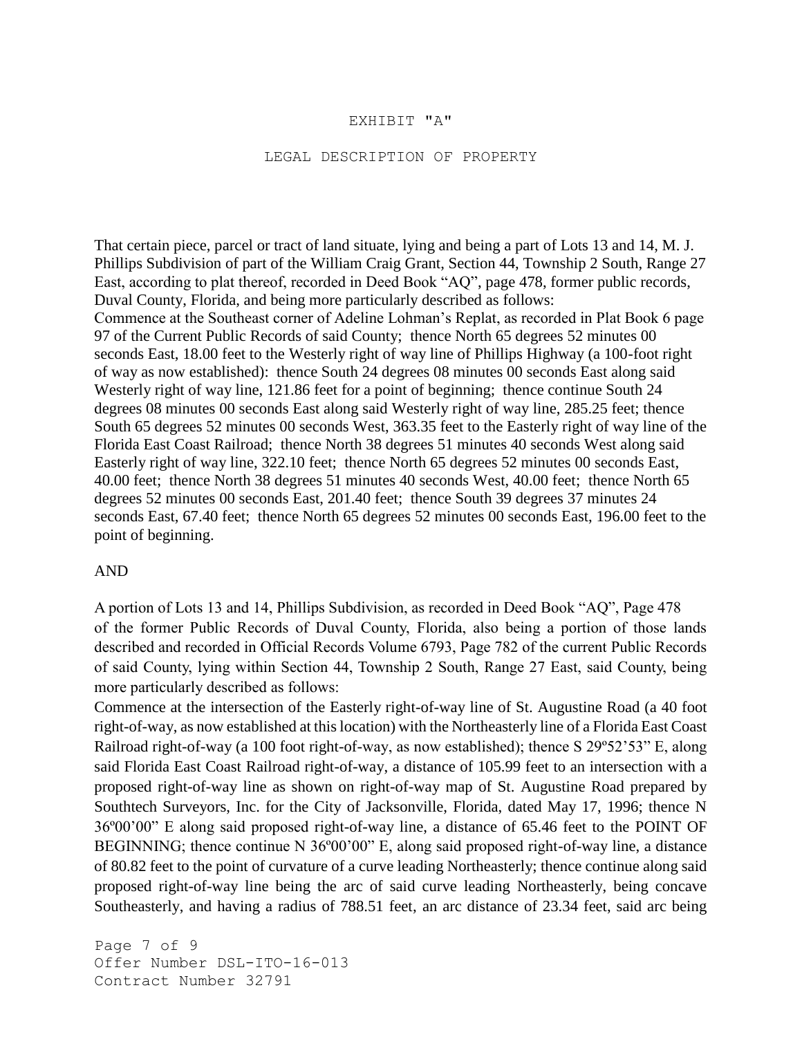## EXHIBIT "A"

### LEGAL DESCRIPTION OF PROPERTY

That certain piece, parcel or tract of land situate, lying and being a part of Lots 13 and 14, M. J. Phillips Subdivision of part of the William Craig Grant, Section 44, Township 2 South, Range 27 East, according to plat thereof, recorded in Deed Book "AQ", page 478, former public records, Duval County, Florida, and being more particularly described as follows: Commence at the Southeast corner of Adeline Lohman's Replat, as recorded in Plat Book 6 page 97 of the Current Public Records of said County; thence North 65 degrees 52 minutes 00 seconds East, 18.00 feet to the Westerly right of way line of Phillips Highway (a 100-foot right of way as now established): thence South 24 degrees 08 minutes 00 seconds East along said Westerly right of way line, 121.86 feet for a point of beginning; thence continue South 24 degrees 08 minutes 00 seconds East along said Westerly right of way line, 285.25 feet; thence South 65 degrees 52 minutes 00 seconds West, 363.35 feet to the Easterly right of way line of the Florida East Coast Railroad; thence North 38 degrees 51 minutes 40 seconds West along said Easterly right of way line, 322.10 feet; thence North 65 degrees 52 minutes 00 seconds East, 40.00 feet; thence North 38 degrees 51 minutes 40 seconds West, 40.00 feet; thence North 65 degrees 52 minutes 00 seconds East, 201.40 feet; thence South 39 degrees 37 minutes 24 seconds East, 67.40 feet; thence North 65 degrees 52 minutes 00 seconds East, 196.00 feet to the point of beginning.

## AND

A portion of Lots 13 and 14, Phillips Subdivision, as recorded in Deed Book "AQ", Page 478 of the former Public Records of Duval County, Florida, also being a portion of those lands described and recorded in Official Records Volume 6793, Page 782 of the current Public Records of said County, lying within Section 44, Township 2 South, Range 27 East, said County, being more particularly described as follows:

Commence at the intersection of the Easterly right-of-way line of St. Augustine Road (a 40 foot right-of-way, as now established at this location) with the Northeasterly line of a Florida East Coast Railroad right-of-way (a 100 foot right-of-way, as now established); thence S 29º52'53" E, along said Florida East Coast Railroad right-of-way, a distance of 105.99 feet to an intersection with a proposed right-of-way line as shown on right-of-way map of St. Augustine Road prepared by Southtech Surveyors, Inc. for the City of Jacksonville, Florida, dated May 17, 1996; thence N 36º00'00" E along said proposed right-of-way line, a distance of 65.46 feet to the POINT OF BEGINNING; thence continue N 36°00'00" E, along said proposed right-of-way line, a distance of 80.82 feet to the point of curvature of a curve leading Northeasterly; thence continue along said proposed right-of-way line being the arc of said curve leading Northeasterly, being concave Southeasterly, and having a radius of 788.51 feet, an arc distance of 23.34 feet, said arc being

Page 7 of 9 Offer Number DSL-ITO-16-013 Contract Number 32791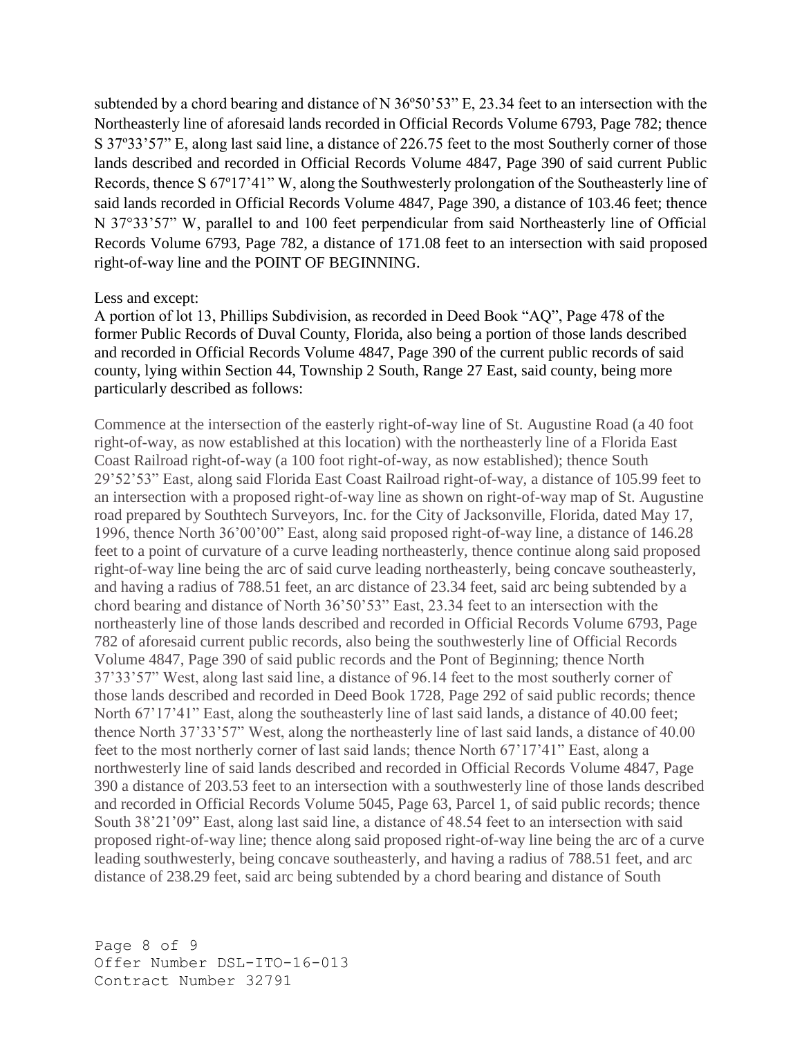subtended by a chord bearing and distance of N 36º50'53" E, 23.34 feet to an intersection with the Northeasterly line of aforesaid lands recorded in Official Records Volume 6793, Page 782; thence S 37º33'57" E, along last said line, a distance of 226.75 feet to the most Southerly corner of those lands described and recorded in Official Records Volume 4847, Page 390 of said current Public Records, thence S 67º17'41" W, along the Southwesterly prolongation of the Southeasterly line of said lands recorded in Official Records Volume 4847, Page 390, a distance of 103.46 feet; thence N 37°33'57" W, parallel to and 100 feet perpendicular from said Northeasterly line of Official Records Volume 6793, Page 782, a distance of 171.08 feet to an intersection with said proposed right-of-way line and the POINT OF BEGINNING.

# Less and except:

A portion of lot 13, Phillips Subdivision, as recorded in Deed Book "AQ", Page 478 of the former Public Records of Duval County, Florida, also being a portion of those lands described and recorded in Official Records Volume 4847, Page 390 of the current public records of said county, lying within Section 44, Township 2 South, Range 27 East, said county, being more particularly described as follows:

Commence at the intersection of the easterly right-of-way line of St. Augustine Road (a 40 foot right-of-way, as now established at this location) with the northeasterly line of a Florida East Coast Railroad right-of-way (a 100 foot right-of-way, as now established); thence South 29'52'53" East, along said Florida East Coast Railroad right-of-way, a distance of 105.99 feet to an intersection with a proposed right-of-way line as shown on right-of-way map of St. Augustine road prepared by Southtech Surveyors, Inc. for the City of Jacksonville, Florida, dated May 17, 1996, thence North 36'00'00" East, along said proposed right-of-way line, a distance of 146.28 feet to a point of curvature of a curve leading northeasterly, thence continue along said proposed right-of-way line being the arc of said curve leading northeasterly, being concave southeasterly, and having a radius of 788.51 feet, an arc distance of 23.34 feet, said arc being subtended by a chord bearing and distance of North 36'50'53" East, 23.34 feet to an intersection with the northeasterly line of those lands described and recorded in Official Records Volume 6793, Page 782 of aforesaid current public records, also being the southwesterly line of Official Records Volume 4847, Page 390 of said public records and the Pont of Beginning; thence North 37'33'57" West, along last said line, a distance of 96.14 feet to the most southerly corner of those lands described and recorded in Deed Book 1728, Page 292 of said public records; thence North 67'17'41" East, along the southeasterly line of last said lands, a distance of 40.00 feet; thence North 37'33'57" West, along the northeasterly line of last said lands, a distance of 40.00 feet to the most northerly corner of last said lands; thence North 67'17'41" East, along a northwesterly line of said lands described and recorded in Official Records Volume 4847, Page 390 a distance of 203.53 feet to an intersection with a southwesterly line of those lands described and recorded in Official Records Volume 5045, Page 63, Parcel 1, of said public records; thence South 38'21'09" East, along last said line, a distance of 48.54 feet to an intersection with said proposed right-of-way line; thence along said proposed right-of-way line being the arc of a curve leading southwesterly, being concave southeasterly, and having a radius of 788.51 feet, and arc distance of 238.29 feet, said arc being subtended by a chord bearing and distance of South

Page 8 of 9 Offer Number DSL-ITO-16-013 Contract Number 32791